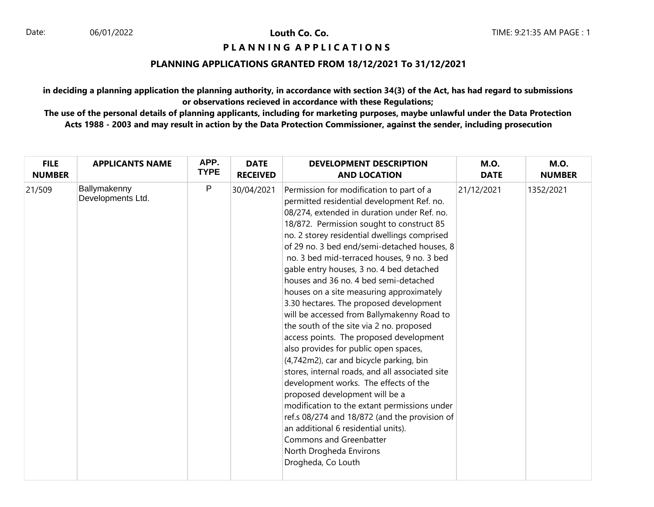### 06/01/2022 **Louth Co. Co.**

# **PIANNING APPLICATIONS**

## **PLANNING APPLICATIONS GRANTED FROM 18/12/2021 To 31/12/2021**

**in deciding a planning application the planning authority, in accordance with section 34(3) of the Act, has had regard to submissions or observations recieved in accordance with these Regulations;**

**The use of the personal details of planning applicants, including for marketing purposes, maybe unlawful under the Data Protection Acts 1988 - 2003 and may result in action by the Data Protection Commissioner, against the sender, including prosecution**

| <b>FILE</b>   | <b>APPLICANTS NAME</b>            | APP.         | <b>DATE</b>     | <b>DEVELOPMENT DESCRIPTION</b>                                                                                                                                                                                                                                                                                                                                                                                                                                                                                                                                                                                                                                                                                                                                                                                                                                                                                                                                                                                                                                                         | <b>M.O.</b> | <b>M.O.</b>   |
|---------------|-----------------------------------|--------------|-----------------|----------------------------------------------------------------------------------------------------------------------------------------------------------------------------------------------------------------------------------------------------------------------------------------------------------------------------------------------------------------------------------------------------------------------------------------------------------------------------------------------------------------------------------------------------------------------------------------------------------------------------------------------------------------------------------------------------------------------------------------------------------------------------------------------------------------------------------------------------------------------------------------------------------------------------------------------------------------------------------------------------------------------------------------------------------------------------------------|-------------|---------------|
| <b>NUMBER</b> |                                   | <b>TYPE</b>  | <b>RECEIVED</b> | <b>AND LOCATION</b>                                                                                                                                                                                                                                                                                                                                                                                                                                                                                                                                                                                                                                                                                                                                                                                                                                                                                                                                                                                                                                                                    | <b>DATE</b> | <b>NUMBER</b> |
| 21/509        | Ballymakenny<br>Developments Ltd. | $\mathsf{P}$ | 30/04/2021      | Permission for modification to part of a<br>permitted residential development Ref. no.<br>08/274, extended in duration under Ref. no.<br>18/872. Permission sought to construct 85<br>no. 2 storey residential dwellings comprised<br>of 29 no. 3 bed end/semi-detached houses, 8<br>no. 3 bed mid-terraced houses, 9 no. 3 bed<br>gable entry houses, 3 no. 4 bed detached<br>houses and 36 no. 4 bed semi-detached<br>houses on a site measuring approximately<br>3.30 hectares. The proposed development<br>will be accessed from Ballymakenny Road to<br>the south of the site via 2 no. proposed<br>access points. The proposed development<br>also provides for public open spaces,<br>(4,742m2), car and bicycle parking, bin<br>stores, internal roads, and all associated site<br>development works. The effects of the<br>proposed development will be a<br>modification to the extant permissions under<br>ref.s 08/274 and 18/872 (and the provision of<br>an additional 6 residential units).<br>Commons and Greenbatter<br>North Drogheda Environs<br>Drogheda, Co Louth | 21/12/2021  | 1352/2021     |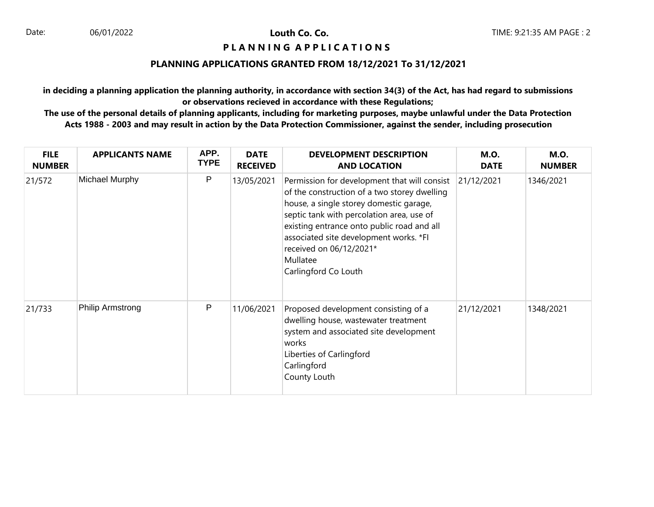Louth Co. Co.

# **PIANNING APPLICATIONS**

## **PLANNING APPLICATIONS GRANTED FROM 18/12/2021 To 31/12/2021**

**in deciding a planning application the planning authority, in accordance with section 34(3) of the Act, has had regard to submissions or observations recieved in accordance with these Regulations;**

**The use of the personal details of planning applicants, including for marketing purposes, maybe unlawful under the Data Protection Acts 1988 - 2003 and may result in action by the Data Protection Commissioner, against the sender, including prosecution**

| <b>FILE</b><br><b>NUMBER</b> | <b>APPLICANTS NAME</b> | APP.<br><b>TYPE</b> | <b>DATE</b><br><b>RECEIVED</b> | <b>DEVELOPMENT DESCRIPTION</b><br><b>AND LOCATION</b>                                                                                                                                                                                                                                                                                       | <b>M.O.</b><br><b>DATE</b> | <b>M.O.</b><br><b>NUMBER</b> |
|------------------------------|------------------------|---------------------|--------------------------------|---------------------------------------------------------------------------------------------------------------------------------------------------------------------------------------------------------------------------------------------------------------------------------------------------------------------------------------------|----------------------------|------------------------------|
| 21/572                       | Michael Murphy         | P                   | 13/05/2021                     | Permission for development that will consist<br>of the construction of a two storey dwelling<br>house, a single storey domestic garage,<br>septic tank with percolation area, use of<br>existing entrance onto public road and all<br>associated site development works. *FI<br>received on 06/12/2021*<br>Mullatee<br>Carlingford Co Louth | 21/12/2021                 | 1346/2021                    |
| 21/733                       | Philip Armstrong       | P                   | 11/06/2021                     | Proposed development consisting of a<br>dwelling house, wastewater treatment<br>system and associated site development<br>works<br>Liberties of Carlingford<br>Carlingford<br>County Louth                                                                                                                                                  | 21/12/2021                 | 1348/2021                    |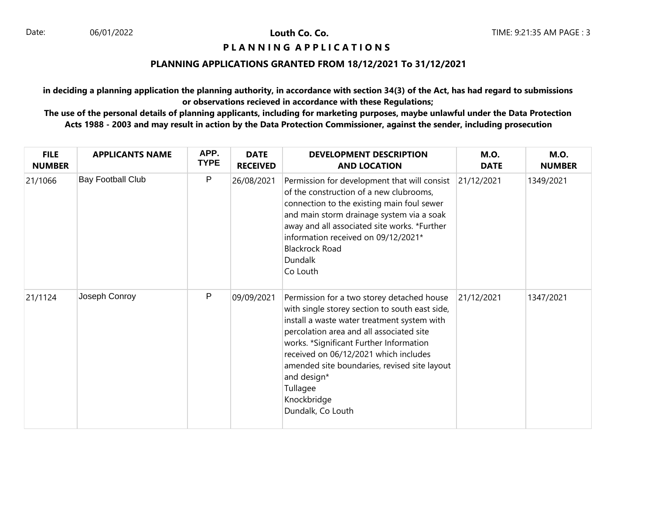Louth Co. Co.

# **PIANNING APPLICATIONS**

# **PLANNING APPLICATIONS GRANTED FROM 18/12/2021 To 31/12/2021**

**in deciding a planning application the planning authority, in accordance with section 34(3) of the Act, has had regard to submissions or observations recieved in accordance with these Regulations;**

**The use of the personal details of planning applicants, including for marketing purposes, maybe unlawful under the Data Protection Acts 1988 - 2003 and may result in action by the Data Protection Commissioner, against the sender, including prosecution**

| <b>FILE</b><br><b>NUMBER</b> | <b>APPLICANTS NAME</b>   | APP.<br><b>TYPE</b> | <b>DATE</b><br><b>RECEIVED</b> | <b>DEVELOPMENT DESCRIPTION</b><br><b>AND LOCATION</b>                                                                                                                                                                                                                                                                                                                                      | <b>M.O.</b><br><b>DATE</b> | <b>M.O.</b><br><b>NUMBER</b> |
|------------------------------|--------------------------|---------------------|--------------------------------|--------------------------------------------------------------------------------------------------------------------------------------------------------------------------------------------------------------------------------------------------------------------------------------------------------------------------------------------------------------------------------------------|----------------------------|------------------------------|
| 21/1066                      | <b>Bay Football Club</b> | P                   | 26/08/2021                     | Permission for development that will consist<br>of the construction of a new clubrooms,<br>connection to the existing main foul sewer<br>and main storm drainage system via a soak<br>away and all associated site works. *Further<br>information received on 09/12/2021*<br><b>Blackrock Road</b><br><b>Dundalk</b><br>Co Louth                                                           | 21/12/2021                 | 1349/2021                    |
| 21/1124                      | Joseph Conroy            | P                   | 09/09/2021                     | Permission for a two storey detached house<br>with single storey section to south east side,<br>install a waste water treatment system with<br>percolation area and all associated site<br>works. *Significant Further Information<br>received on 06/12/2021 which includes<br>amended site boundaries, revised site layout<br>and design*<br>Tullagee<br>Knockbridge<br>Dundalk, Co Louth | 21/12/2021                 | 1347/2021                    |